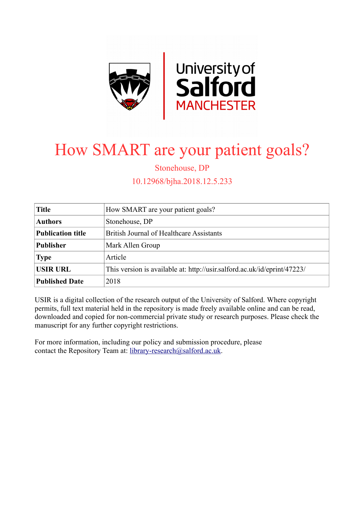

# How SMART are your patient goals?

Stonehouse, DP

10.12968/bjha.2018.12.5.233

| <b>Title</b>             | How SMART are your patient goals?                                        |
|--------------------------|--------------------------------------------------------------------------|
| <b>Authors</b>           | Stonehouse, DP                                                           |
| <b>Publication title</b> | British Journal of Healthcare Assistants                                 |
| <b>Publisher</b>         | Mark Allen Group                                                         |
| <b>Type</b>              | Article                                                                  |
| <b>USIR URL</b>          | This version is available at: http://usir.salford.ac.uk/id/eprint/47223/ |
| <b>Published Date</b>    | 2018                                                                     |

USIR is a digital collection of the research output of the University of Salford. Where copyright permits, full text material held in the repository is made freely available online and can be read, downloaded and copied for non-commercial private study or research purposes. Please check the manuscript for any further copyright restrictions.

For more information, including our policy and submission procedure, please contact the Repository Team at: [library-research@salford.ac.uk.](mailto:library-research@salford.ac.uk)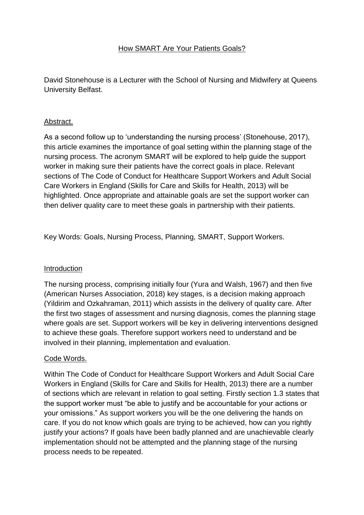# How SMART Are Your Patients Goals?

David Stonehouse is a Lecturer with the School of Nursing and Midwifery at Queens University Belfast.

### Abstract.

As a second follow up to 'understanding the nursing process' (Stonehouse, 2017), this article examines the importance of goal setting within the planning stage of the nursing process. The acronym SMART will be explored to help guide the support worker in making sure their patients have the correct goals in place. Relevant sections of The Code of Conduct for Healthcare Support Workers and Adult Social Care Workers in England (Skills for Care and Skills for Health, 2013) will be highlighted. Once appropriate and attainable goals are set the support worker can then deliver quality care to meet these goals in partnership with their patients.

Key Words: Goals, Nursing Process, Planning, SMART, Support Workers.

#### **Introduction**

The nursing process, comprising initially four (Yura and Walsh, 1967) and then five (American Nurses Association, 2018) key stages, is a decision making approach (Yildirim and Ozkahraman, 2011) which assists in the delivery of quality care. After the first two stages of assessment and nursing diagnosis, comes the planning stage where goals are set. Support workers will be key in delivering interventions designed to achieve these goals. Therefore support workers need to understand and be involved in their planning, implementation and evaluation.

#### Code Words.

Within The Code of Conduct for Healthcare Support Workers and Adult Social Care Workers in England (Skills for Care and Skills for Health, 2013) there are a number of sections which are relevant in relation to goal setting. Firstly section 1.3 states that the support worker must "be able to justify and be accountable for your actions or your omissions." As support workers you will be the one delivering the hands on care. If you do not know which goals are trying to be achieved, how can you rightly justify your actions? If goals have been badly planned and are unachievable clearly implementation should not be attempted and the planning stage of the nursing process needs to be repeated.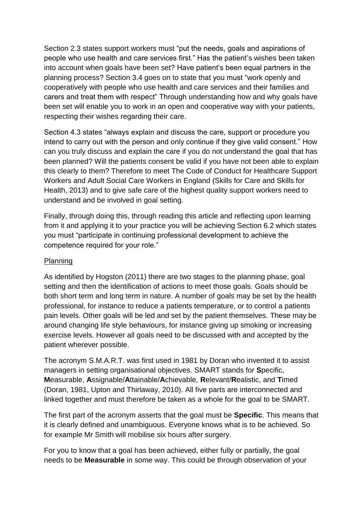Section 2.3 states support workers must "put the needs, goals and aspirations of people who use health and care services first." Has the patient's wishes been taken into account when goals have been set? Have patient's been equal partners in the planning process? Section 3.4 goes on to state that you must "work openly and cooperatively with people who use health and care services and their families and carers and treat them with respect" Through understanding how and why goals have been set will enable you to work in an open and cooperative way with your patients, respecting their wishes regarding their care.

Section 4.3 states "always explain and discuss the care, support or procedure you intend to carry out with the person and only continue if they give valid consent." How can you truly discuss and explain the care if you do not understand the goal that has been planned? Will the patients consent be valid if you have not been able to explain this clearly to them? Therefore to meet The Code of Conduct for Healthcare Support Workers and Adult Social Care Workers in England (Skills for Care and Skills for Health, 2013) and to give safe care of the highest quality support workers need to understand and be involved in goal setting.

Finally, through doing this, through reading this article and reflecting upon learning from it and applying it to your practice you will be achieving Section 6.2 which states you must "participate in continuing professional development to achieve the competence required for your role."

#### **Planning**

As identified by Hogston (2011) there are two stages to the planning phase, goal setting and then the identification of actions to meet those goals. Goals should be both short term and long term in nature. A number of goals may be set by the health professional, for instance to reduce a patients temperature, or to control a patients pain levels. Other goals will be led and set by the patient themselves. These may be around changing life style behaviours, for instance giving up smoking or increasing exercise levels. However all goals need to be discussed with and accepted by the patient wherever possible.

The acronym S.M.A.R.T. was first used in 1981 by Doran who invented it to assist managers in setting organisational objectives. SMART stands for **S**pecific, **M**easurable, **A**ssignable/**A**ttainable/**A**chievable, **R**elevant/**R**ealistic, and **T**imed (Doran, 1981, Upton and Thirlaway, 2010). All five parts are interconnected and linked together and must therefore be taken as a whole for the goal to be SMART.

The first part of the acronym asserts that the goal must be **Specific**. This means that it is clearly defined and unambiguous. Everyone knows what is to be achieved. So for example Mr Smith will mobilise six hours after surgery.

For you to know that a goal has been achieved, either fully or partially, the goal needs to be **Measurable** in some way. This could be through observation of your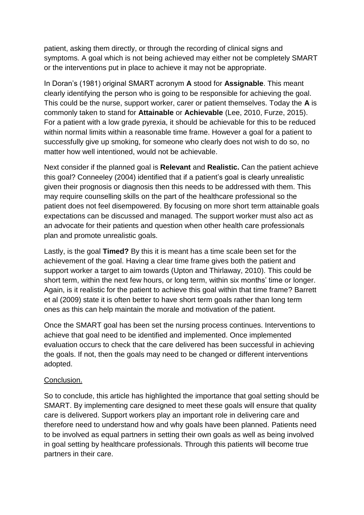patient, asking them directly, or through the recording of clinical signs and symptoms. A goal which is not being achieved may either not be completely SMART or the interventions put in place to achieve it may not be appropriate.

In Doran's (1981) original SMART acronym **A** stood for **Assignable**. This meant clearly identifying the person who is going to be responsible for achieving the goal. This could be the nurse, support worker, carer or patient themselves. Today the **A** is commonly taken to stand for **Attainable** or **Achievable** (Lee, 2010, Furze, 2015). For a patient with a low grade pyrexia, it should be achievable for this to be reduced within normal limits within a reasonable time frame. However a goal for a patient to successfully give up smoking, for someone who clearly does not wish to do so, no matter how well intentioned, would not be achievable.

Next consider if the planned goal is **Relevant** and **Realistic.** Can the patient achieve this goal? Conneeley (2004) identified that if a patient's goal is clearly unrealistic given their prognosis or diagnosis then this needs to be addressed with them. This may require counselling skills on the part of the healthcare professional so the patient does not feel disempowered. By focusing on more short term attainable goals expectations can be discussed and managed. The support worker must also act as an advocate for their patients and question when other health care professionals plan and promote unrealistic goals.

Lastly, is the goal **Timed?** By this it is meant has a time scale been set for the achievement of the goal. Having a clear time frame gives both the patient and support worker a target to aim towards (Upton and Thirlaway, 2010). This could be short term, within the next few hours, or long term, within six months' time or longer. Again, is it realistic for the patient to achieve this goal within that time frame? Barrett et al (2009) state it is often better to have short term goals rather than long term ones as this can help maintain the morale and motivation of the patient.

Once the SMART goal has been set the nursing process continues. Interventions to achieve that goal need to be identified and implemented. Once implemented evaluation occurs to check that the care delivered has been successful in achieving the goals. If not, then the goals may need to be changed or different interventions adopted.

## Conclusion.

So to conclude, this article has highlighted the importance that goal setting should be SMART. By implementing care designed to meet these goals will ensure that quality care is delivered. Support workers play an important role in delivering care and therefore need to understand how and why goals have been planned. Patients need to be involved as equal partners in setting their own goals as well as being involved in goal setting by healthcare professionals. Through this patients will become true partners in their care.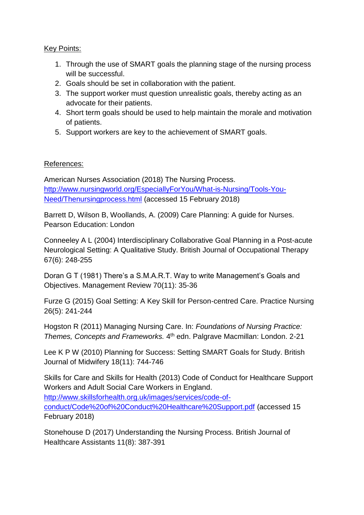## Key Points:

- 1. Through the use of SMART goals the planning stage of the nursing process will be successful.
- 2. Goals should be set in collaboration with the patient.
- 3. The support worker must question unrealistic goals, thereby acting as an advocate for their patients.
- 4. Short term goals should be used to help maintain the morale and motivation of patients.
- 5. Support workers are key to the achievement of SMART goals.

# References:

American Nurses Association (2018) The Nursing Process. [http://www.nursingworld.org/EspeciallyForYou/What-is-Nursing/Tools-You-](http://www.nursingworld.org/EspeciallyForYou/What-is-Nursing/Tools-You-Need/Thenursingprocess.html)[Need/Thenursingprocess.html](http://www.nursingworld.org/EspeciallyForYou/What-is-Nursing/Tools-You-Need/Thenursingprocess.html) (accessed 15 February 2018)

Barrett D, Wilson B, Woollands, A. (2009) Care Planning: A guide for Nurses. Pearson Education: London

Conneeley A L (2004) Interdisciplinary Collaborative Goal Planning in a Post-acute Neurological Setting: A Qualitative Study. British Journal of Occupational Therapy 67(6): 248-255

Doran G T (1981) There's a S.M.A.R.T. Way to write Management's Goals and Objectives. Management Review 70(11): 35-36

Furze G (2015) Goal Setting: A Key Skill for Person-centred Care. Practice Nursing 26(5): 241-244

Hogston R (2011) Managing Nursing Care. In: *Foundations of Nursing Practice:*  Themes, Concepts and Frameworks. 4<sup>th</sup> edn. Palgrave Macmillan: London. 2-21

Lee K P W (2010) Planning for Success: Setting SMART Goals for Study. British Journal of Midwifery 18(11): 744-746

Skills for Care and Skills for Health (2013) Code of Conduct for Healthcare Support Workers and Adult Social Care Workers in England.

[http://www.skillsforhealth.org.uk/images/services/code-of](http://www.skillsforhealth.org.uk/images/services/code-of-conduct/Code%20of%20Conduct%20Healthcare%20Support.pdf)[conduct/Code%20of%20Conduct%20Healthcare%20Support.pdf](http://www.skillsforhealth.org.uk/images/services/code-of-conduct/Code%20of%20Conduct%20Healthcare%20Support.pdf) (accessed 15 February 2018)

Stonehouse D (2017) Understanding the Nursing Process. British Journal of Healthcare Assistants 11(8): 387-391